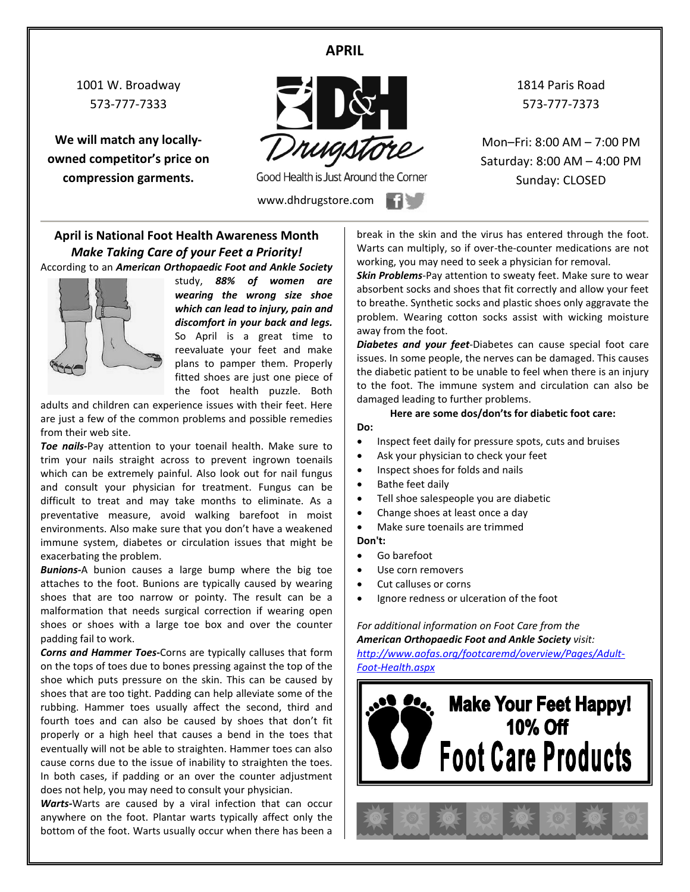### **APRIL**

1001 W. Broadway 573-777-7333

**We will match any locallyowned competitor's price on compression garments.**



Good Health is Just Around the Corner

www.dhdrugstore.com

1814 Paris Road 573-777-7373

Mon–Fri: 8:00 AM – 7:00 PM Saturday: 8:00 AM – 4:00 PM Sunday: CLOSED

### **April is National Foot Health Awareness Month** *Make Taking Care of your Feet a Priority!* According to an *American Orthopaedic Foot and Ankle Society*



study, *88% of women are wearing the wrong size shoe which can lead to injury, pain and discomfort in your back and legs.* So April is a great time to reevaluate your feet and make plans to pamper them. Properly fitted shoes are just one piece of the foot health puzzle. Both

adults and children can experience issues with their feet. Here are just a few of the common problems and possible remedies from their web site.

*Toe nails***-**Pay attention to your toenail health. Make sure to trim your nails straight across to prevent ingrown toenails which can be extremely painful. Also look out for nail fungus and consult your physician for treatment. Fungus can be difficult to treat and may take months to eliminate. As a preventative measure, avoid walking barefoot in moist environments. Also make sure that you don't have a weakened immune system, diabetes or circulation issues that might be exacerbating the problem.

*Bunions-*A bunion causes a large bump where the big toe attaches to the foot. Bunions are typically caused by wearing shoes that are too narrow or pointy. The result can be a malformation that needs surgical correction if wearing open shoes or shoes with a large toe box and over the counter padding fail to work.

*Corns and Hammer Toes***-**Corns are typically calluses that form on the tops of toes due to bones pressing against the top of the shoe which puts pressure on the skin. This can be caused by shoes that are too tight. Padding can help alleviate some of the rubbing. Hammer toes usually affect the second, third and fourth toes and can also be caused by shoes that don't fit properly or a high heel that causes a bend in the toes that eventually will not be able to straighten. Hammer toes can also cause corns due to the issue of inability to straighten the toes. In both cases, if padding or an over the counter adjustment does not help, you may need to consult your physician.

*Warts-*Warts are caused by a viral infection that can occur anywhere on the foot. Plantar warts typically affect only the bottom of the foot. Warts usually occur when there has been a break in the skin and the virus has entered through the foot. Warts can multiply, so if over-the-counter medications are not working, you may need to seek a physician for removal.

*Skin Problems*-Pay attention to sweaty feet. Make sure to wear absorbent socks and shoes that fit correctly and allow your feet to breathe. Synthetic socks and plastic shoes only aggravate the problem. Wearing cotton socks assist with wicking moisture away from the foot.

*Diabetes and your feet*-Diabetes can cause special foot care issues. In some people, the nerves can be damaged. This causes the diabetic patient to be unable to feel when there is an injury to the foot. The immune system and circulation can also be damaged leading to further problems.

#### **Here are some dos/don'ts for diabetic foot care: Do:**

- Inspect feet daily for pressure spots, cuts and bruises
- Ask your physician to check your feet
- Inspect shoes for folds and nails
- Bathe feet daily
- Tell shoe salespeople you are diabetic
- Change shoes at least once a day
- Make sure toenails are trimmed **Don't:**
- Go barefoot
- Use corn removers
- Cut calluses or corns
- Ignore redness or ulceration of the foot

*For additional information on Foot Care from the American Orthopaedic Foot and Ankle Society visit: [http://www.aofas.org/footcaremd/overview/Pages/Adult-](http://www.aofas.org/footcaremd/overview/Pages/Adult-Foot-Health.aspx)*

*[Foot-Health.aspx](http://www.aofas.org/footcaremd/overview/Pages/Adult-Foot-Health.aspx)*